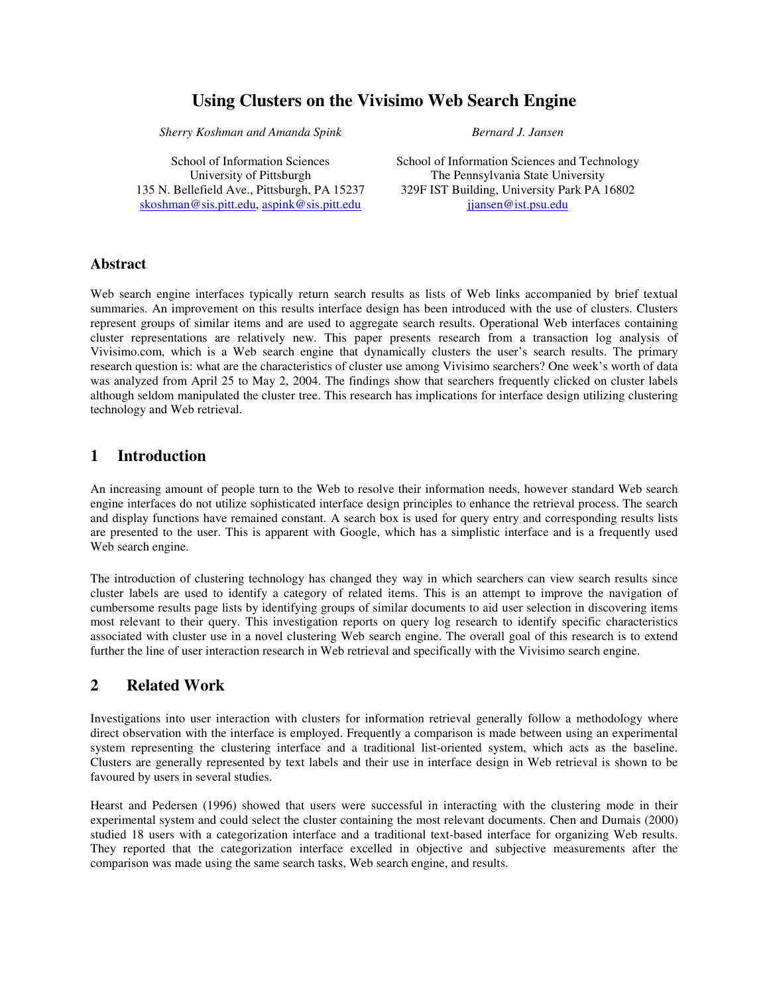# **Using Clusters on the Vivisimo Web Search Engine**

*Sherry Koshman and Amanda Spink*

*Bernard J. Jansen*

School of Information Sciences University of Pittsburgh 135 N. Bellefield Ave., Pittsburgh, PA 15237 skoshman@sis.pitt.edu, aspink@sis.pitt.edu

School of Information Sciences and Technology The Pennsylvania State University 329F IST Building, University Park PA 16802 jjansen@ist.psu.edu

#### **Abstract**

Web search engine interfaces typically return search results as lists of Web links accompanied by brief textual summaries. An improvement on this results interface design has been introduced with the use of clusters. Clusters represent groups of similar items and are used to aggregate search results. Operational Web interfaces containing cluster representations are relatively new. This paper presents research from a transaction log analysis of Vivisimo.com, which is a Web search engine that dynamically clusters the user's search results. The primary research question is: what are the characteristics of cluster use among Vivisimo searchers? One week's worth of data was analyzed from April 25 to May 2, 2004. The findings show that searchers frequently clicked on cluster labels although seldom manipulated the cluster tree. This research has implications for interface design utilizing clustering technology and Web retrieval.

### **1 Introduction**

An increasing amount of people turn to the Web to resolve their information needs, however standard Web search engine interfaces do not utilize sophisticated interface design principles to enhance the retrieval process. The search and display functions have remained constant. A search box is used for query entry and corresponding results lists are presented to the user. This is apparent with Google, which has a simplistic interface and is a frequently used Web search engine.

The introduction of clustering technology has changed they way in which searchers can view search results since cluster labels are used to identify a category of related items. This is an attempt to improve the navigation of cumbersome results page lists by identifying groups of similar documents to aid user selection in discovering items most relevant to their query. This investigation reports on query log research to identify specific characteristics associated with cluster use in a novel clustering Web search engine. The overall goal of this research is to extend further the line of user interaction research in Web retrieval and specifically with the Vivisimo search engine.

## **2 Related Work**

Investigations into user interaction with clusters for information retrieval generally follow a methodology where direct observation with the interface is employed. Frequently a comparison is made between using an experimental system representing the clustering interface and a traditional list-oriented system, which acts as the baseline. Clusters are generally represented by text labels and their use in interface design in Web retrieval is shown to be favoured by users in several studies.

Hearst and Pedersen (1996) showed that users were successful in interacting with the clustering mode in their experimental system and could select the cluster containing the most relevant documents. Chen and Dumais (2000) studied 18 users with a categorization interface and a traditional text-based interface for organizing Web results. They reported that the categorization interface excelled in objective and subjective measurements after the comparison was made using the same search tasks, Web search engine, and results.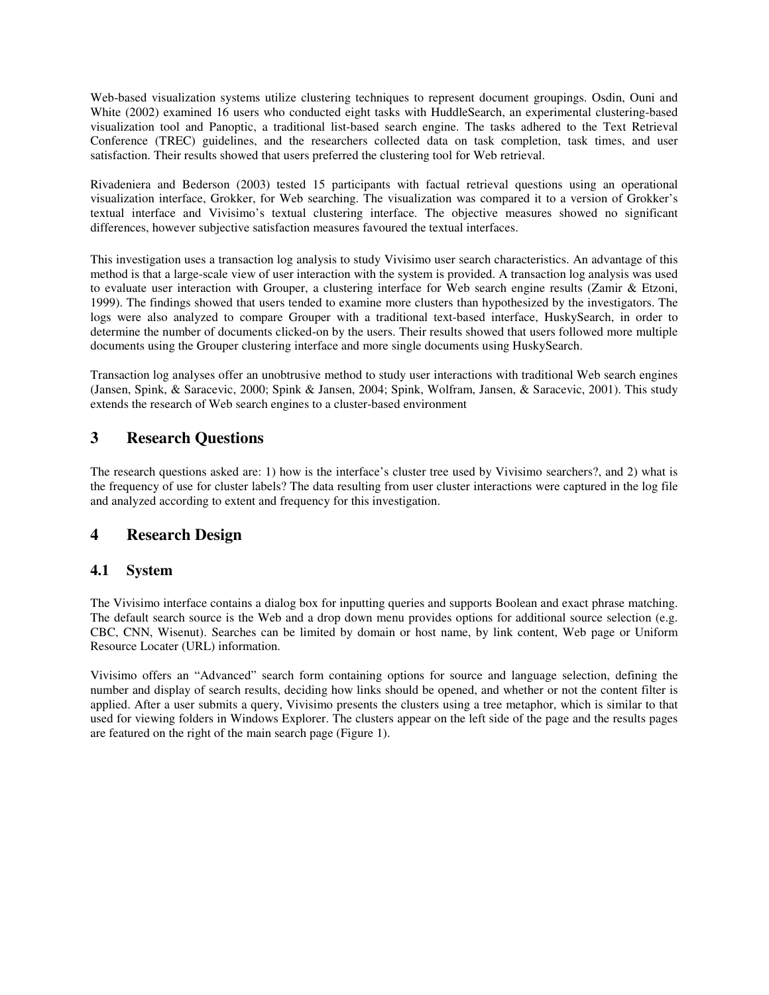Web-based visualization systems utilize clustering techniques to represent document groupings. Osdin, Ouni and White (2002) examined 16 users who conducted eight tasks with HuddleSearch, an experimental clustering-based visualization tool and Panoptic, a traditional list-based search engine. The tasks adhered to the Text Retrieval Conference (TREC) guidelines, and the researchers collected data on task completion, task times, and user satisfaction. Their results showed that users preferred the clustering tool for Web retrieval.

Rivadeniera and Bederson (2003) tested 15 participants with factual retrieval questions using an operational visualization interface, Grokker, for Web searching. The visualization was compared it to a version of Grokker's textual interface and Vivisimo's textual clustering interface. The objective measures showed no significant differences, however subjective satisfaction measures favoured the textual interfaces.

This investigation uses a transaction log analysis to study Vivisimo user search characteristics. An advantage of this method is that a large-scale view of user interaction with the system is provided. A transaction log analysis was used to evaluate user interaction with Grouper, a clustering interface for Web search engine results (Zamir & Etzoni, 1999). The findings showed that users tended to examine more clusters than hypothesized by the investigators. The logs were also analyzed to compare Grouper with a traditional text-based interface, HuskySearch, in order to determine the number of documents clicked-on by the users. Their results showed that users followed more multiple documents using the Grouper clustering interface and more single documents using HuskySearch.

Transaction log analyses offer an unobtrusive method to study user interactions with traditional Web search engines (Jansen, Spink, & Saracevic, 2000; Spink & Jansen, 2004; Spink, Wolfram, Jansen, & Saracevic, 2001). This study extends the research of Web search engines to a cluster-based environment

## **3 Research Questions**

The research questions asked are: 1) how is the interface's cluster tree used by Vivisimo searchers?, and 2) what is the frequency of use for cluster labels? The data resulting from user cluster interactions were captured in the log file and analyzed according to extent and frequency for this investigation.

## **4 Research Design**

### **4.1 System**

The Vivisimo interface contains a dialog box for inputting queries and supports Boolean and exact phrase matching. The default search source is the Web and a drop down menu provides options for additional source selection (e.g. CBC, CNN, Wisenut). Searches can be limited by domain or host name, by link content, Web page or Uniform Resource Locater (URL) information.

Vivisimo offers an "Advanced" search form containing options for source and language selection, defining the number and display of search results, deciding how links should be opened, and whether or not the content filter is applied. After a user submits a query, Vivisimo presents the clusters using a tree metaphor, which is similar to that used for viewing folders in Windows Explorer. The clusters appear on the left side of the page and the results pages are featured on the right of the main search page (Figure 1).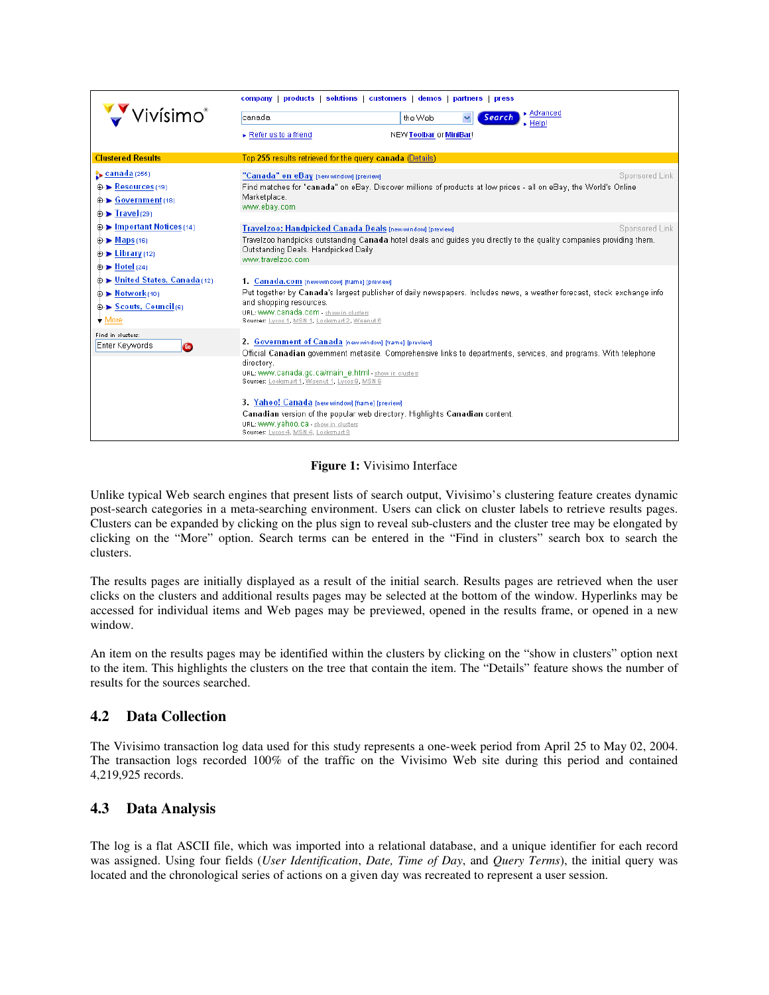|                                                                                                     | company   products   solutions   customers   demos   partners   press                                                                                                                                                                                                                                |
|-----------------------------------------------------------------------------------------------------|------------------------------------------------------------------------------------------------------------------------------------------------------------------------------------------------------------------------------------------------------------------------------------------------------|
| vísimo®                                                                                             | $\blacktriangleright$ Advanced<br>the Web<br>Search<br>canada<br>. Help!                                                                                                                                                                                                                             |
|                                                                                                     | Refer us to a friend<br>NEW Toolbar or MiniBar!                                                                                                                                                                                                                                                      |
| <b>Clustered Results</b>                                                                            | Top 255 results retrieved for the query canada (Details)                                                                                                                                                                                                                                             |
| <b>canada</b> (255)<br>⊕ Resources (19)<br>⊕→ Government(18)<br>$\oplus$ Firavel (29)               | Sponsored Link<br>"Canada" on eBay [new window] [preview]<br>Find matches for "canada" on eBay. Discover millions of products at low prices - all on eBay, the World's Online<br>Marketplace.<br>www.ebay.com                                                                                        |
| ⊕ ► Important Notices (14)<br>$\oplus$ Maps (16)<br>$\oplus$ Library (12)<br>$\oplus$ > Hotel (24)  | Sponsored Link<br>Travelzoo: Handpicked Canada Deals [new window] [preview]<br>Travelzoo handpicks outstanding Canada hotel deals and guides you directly to the quality companies providing them.<br>Outstanding Deals. Handpicked Daily.<br>www.travelzoo.com                                      |
| ⊕ ► United States, Canada (12)<br>⊕ ▶ Network(10)<br><b>⊕-▶ Scouts, Council</b> (6)<br>$\star$ More | 1. Canada.com [new window] [frame] [preview]<br>Put together by Canada's largest publisher of daily newspapers. Includes news, a weather forecast, stock exchange info<br>and shopping resources.<br>URL: WWW. Canada. COM - show in clusters<br>Sources: Lycos 1, MSN 1, Looksmart 2, Wisenut 6     |
| Find in clusters:<br>Enter Keywords<br>GD                                                           | 2. Government of Canada [new window] [frame] [preview]<br>Official Canadian government metasite. Comprehensive links to departments, services, and programs. With telephone<br>directory.<br>URL: WWW.canada.gc.ca/main_e.html - show in clusters<br>Sources: Looksmart 1, Wisenut 1, Lycos 9, MSN 9 |
|                                                                                                     | 3. Yahoo! Canada [new window] [frame] [preview]<br>Canadian version of the popular web directory. Highlights Canadian content.<br>URL: WWW. Yahoo.ca - show in clusters<br>Sources: Lycos 4, MSN 4, Looksmart 8                                                                                      |

#### **Figure 1:** Vivisimo Interface

Unlike typical Web search engines that present lists of search output, Vivisimo's clustering feature creates dynamic post-search categories in a meta-searching environment. Users can click on cluster labels to retrieve results pages. Clusters can be expanded by clicking on the plus sign to reveal sub-clusters and the cluster tree may be elongated by clicking on the "More" option. Search terms can be entered in the "Find in clusters" search box to search the clusters.

The results pages are initially displayed as a result of the initial search. Results pages are retrieved when the user clicks on the clusters and additional results pages may be selected at the bottom of the window. Hyperlinks may be accessed for individual items and Web pages may be previewed, opened in the results frame, or opened in a new window.

An item on the results pages may be identified within the clusters by clicking on the "show in clusters" option next to the item. This highlights the clusters on the tree that contain the item. The "Details" feature shows the number of results for the sources searched.

### **4.2 Data Collection**

The Vivisimo transaction log data used for this study represents a one-week period from April 25 to May 02, 2004. The transaction logs recorded 100% of the traffic on the Vivisimo Web site during this period and contained 4,219,925 records.

### **4.3 Data Analysis**

The log is a flat ASCII file, which was imported into a relational database, and a unique identifier for each record was assigned. Using four fields (*User Identification*, *Date, Time of Day*, and *Query Terms*), the initial query was located and the chronological series of actions on a given day was recreated to represent a user session.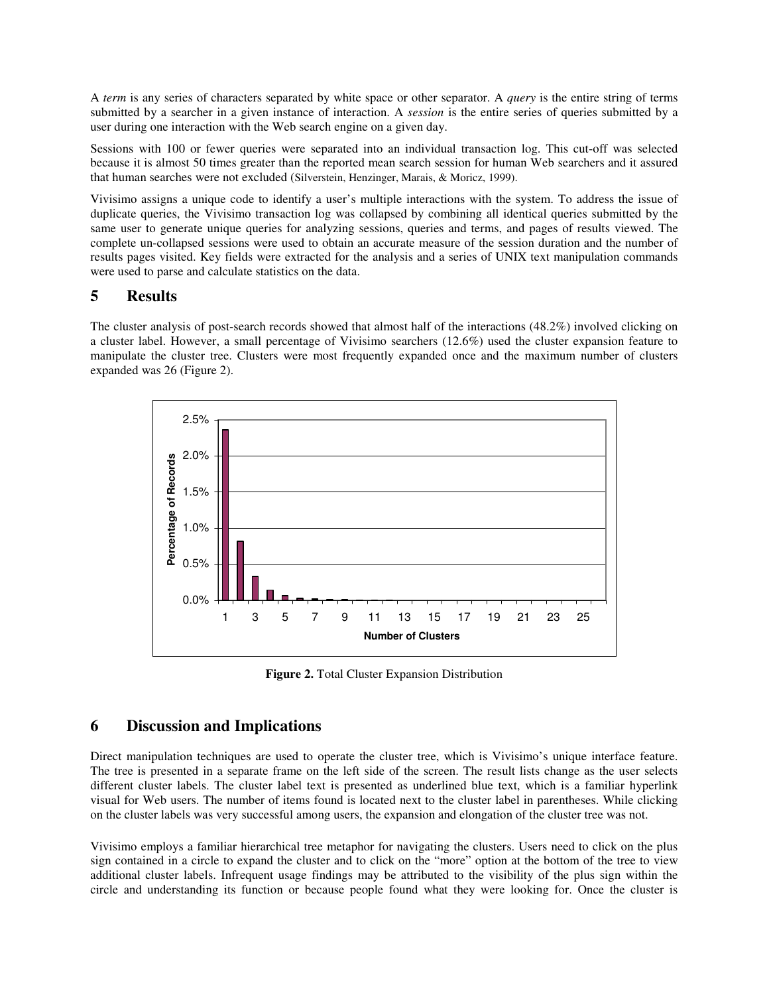A *term* is any series of characters separated by white space or other separator. A *query* is the entire string of terms submitted by a searcher in a given instance of interaction. A *session* is the entire series of queries submitted by a user during one interaction with the Web search engine on a given day.

Sessions with 100 or fewer queries were separated into an individual transaction log. This cut-off was selected because it is almost 50 times greater than the reported mean search session for human Web searchers and it assured that human searches were not excluded (Silverstein, Henzinger, Marais, & Moricz, 1999).

Vivisimo assigns a unique code to identify a user's multiple interactions with the system. To address the issue of duplicate queries, the Vivisimo transaction log was collapsed by combining all identical queries submitted by the same user to generate unique queries for analyzing sessions, queries and terms, and pages of results viewed. The complete un-collapsed sessions were used to obtain an accurate measure of the session duration and the number of results pages visited. Key fields were extracted for the analysis and a series of UNIX text manipulation commands were used to parse and calculate statistics on the data.

### **5 Results**

The cluster analysis of post-search records showed that almost half of the interactions (48.2%) involved clicking on a cluster label. However, a small percentage of Vivisimo searchers (12.6%) used the cluster expansion feature to manipulate the cluster tree. Clusters were most frequently expanded once and the maximum number of clusters expanded was 26 (Figure 2).



**Figure 2.** Total Cluster Expansion Distribution

### **6 Discussion and Implications**

Direct manipulation techniques are used to operate the cluster tree, which is Vivisimo's unique interface feature. The tree is presented in a separate frame on the left side of the screen. The result lists change as the user selects different cluster labels. The cluster label text is presented as underlined blue text, which is a familiar hyperlink visual for Web users. The number of items found is located next to the cluster label in parentheses. While clicking on the cluster labels was very successful among users, the expansion and elongation of the cluster tree was not.

Vivisimo employs a familiar hierarchical tree metaphor for navigating the clusters. Users need to click on the plus sign contained in a circle to expand the cluster and to click on the "more" option at the bottom of the tree to view additional cluster labels. Infrequent usage findings may be attributed to the visibility of the plus sign within the circle and understanding its function or because people found what they were looking for. Once the cluster is